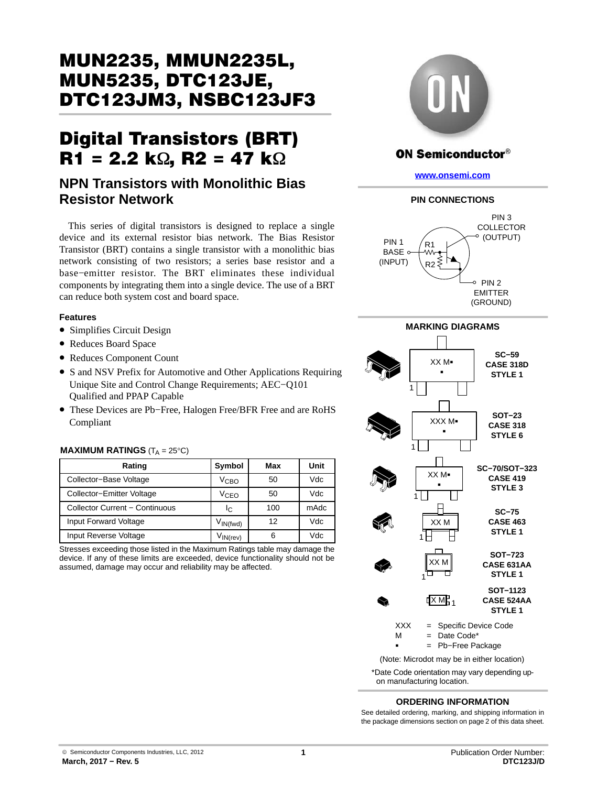# MUN2235, MMUN2235L, DTC123JM3, NSBC123JF3 DTC123JM3, NSBC123JF3

# $\overline{R1}$  = 2.2 k $\Omega$ ,  $\overline{R2}$  = 47 k $\Omega$

# **NPN Transistors with Monolithic Bias Resistor Network**

This series of digital transistors is designed to replace a single device and its external resistor bias network. The Bias Resistor Transistor (BRT) contains a single transistor with a monolithic bias network consisting of two resistors; a series base resistor and a base−emitter resistor. The BRT eliminates these individual components by integrating them into a single device. The use of a BRT can reduce both system cost and board space.

#### **Features**

- Simplifies Circuit Design
- Reduces Board Space
- Reduces Component Count
- S and NSV Prefix for Automotive and Other Applications Requiring Unique Site and Control Change Requirements; AEC−Q101 Qualified and PPAP Capable
- These Devices are Pb−Free, Halogen Free/BFR Free and are RoHS Compliant

#### **MAXIMUM RATINGS** ( $T_A = 25^{\circ}C$ )

| Rating                         | Symbol                          | Max | Unit |
|--------------------------------|---------------------------------|-----|------|
| Collector-Base Voltage         | V <sub>СВО</sub>                | 50  | Vdc  |
| Collector-Emitter Voltage      | V <sub>CEO</sub>                | 50  | Vdc  |
| Collector Current - Continuous | Ιc                              | 100 | mAdc |
| Input Forward Voltage          | V <sub>IN(fwd)</sub>            | 12  | Vdc  |
| Input Reverse Voltage          | $V_{\mathsf{IN}(\mathsf{rev})}$ | 6   | Vdc  |

Stresses exceeding those listed in the Maximum Ratings table may damage the device. If any of these limits are exceeded, device functionality should not be assumed, damage may occur and reliability may be affected.



# **ON Semiconductor®**

**[www.onsemi.com](http://www.onsemi.com/)**

#### **PIN CONNECTIONS**



#### **MARKING DIAGRAMS**



\*Date Code orientation may vary depending upon manufacturing location.

#### **ORDERING INFORMATION**

See detailed ordering, marking, and shipping information in the package dimensions section on page [2](#page-1-0) of this data sheet.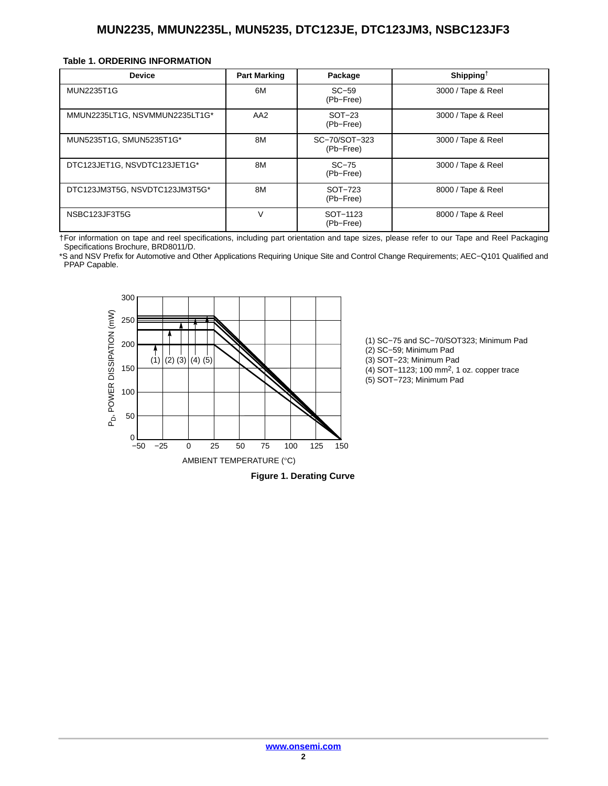#### <span id="page-1-0"></span>**Table 1. ORDERING INFORMATION**

| <b>Device</b>                  | <b>Part Marking</b> | Package                    | Shipping <sup>†</sup> |
|--------------------------------|---------------------|----------------------------|-----------------------|
| <b>MUN2235T1G</b>              | 6M                  | $SC-59$<br>(Pb-Free)       | 3000 / Tape & Reel    |
| MMUN2235LT1G, NSVMMUN2235LT1G* | AA <sub>2</sub>     | $SOT-23$<br>(Pb-Free)      | 3000 / Tape & Reel    |
| MUN5235T1G, SMUN5235T1G*       | 8M                  | SC-70/SOT-323<br>(Pb-Free) | 3000 / Tape & Reel    |
| DTC123JET1G, NSVDTC123JET1G*   | 8M                  | $SC-75$<br>(Pb-Free)       | 3000 / Tape & Reel    |
| DTC123JM3T5G, NSVDTC123JM3T5G* | 8M                  | SOT-723<br>(Pb-Free)       | 8000 / Tape & Reel    |
| NSBC123JF3T5G                  | V                   | SOT-1123<br>(Pb-Free)      | 8000 / Tape & Reel    |

†For information on tape and reel specifications, including part orientation and tape sizes, please refer to our Tape and Reel Packaging Specifications Brochure, BRD8011/D.

\*S and NSV Prefix for Automotive and Other Applications Requiring Unique Site and Control Change Requirements; AEC−Q101 Qualified and PPAP Capable.



(1) SC−75 and SC−70/SOT323; Minimum Pad (2) SC−59; Minimum Pad (3) SOT−23; Minimum Pad (4) SOT−1123; 100 mm2, 1 oz. copper trace (5) SOT−723; Minimum Pad

**Figure 1. Derating Curve**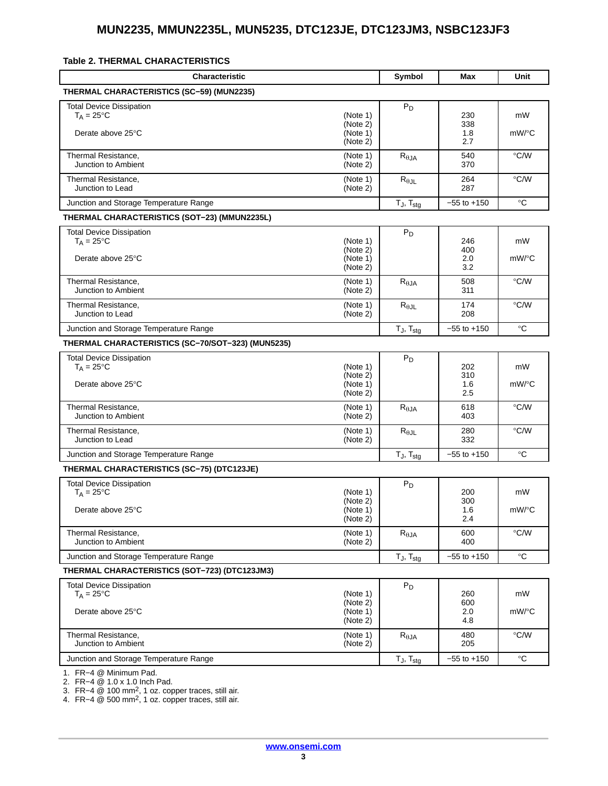#### <span id="page-2-0"></span>**Table 2. THERMAL CHARACTERISTICS**

| <b>Characteristic</b>                                  |                                  | Symbol                   | Max               | Unit          |
|--------------------------------------------------------|----------------------------------|--------------------------|-------------------|---------------|
| THERMAL CHARACTERISTICS (SC-59) (MUN2235)              |                                  |                          |                   |               |
| Total Device Dissipation<br>$T_A = 25^{\circ}C$        | (Note 1)<br>(Note 2)             | $P_D$                    | 230<br>338        | mW            |
| Derate above 25°C                                      | (Note 1)<br>(Note 2)             |                          | 1.8<br>2.7        | mW/°C         |
| Thermal Resistance,<br>Junction to Ambient             | (Note 1)<br>(Note 2)             | $R_{\theta JA}$          | 540<br>370        | $\degree$ C/W |
| Thermal Resistance,<br>Junction to Lead                | (Note 1)<br>(Note 2)             | $R_{\theta$ JL           | 264<br>287        | $\degree$ C/W |
| Junction and Storage Temperature Range                 |                                  | $T_J$ , $T_{stg}$        | $-55$ to $+150$   | $^{\circ}C$   |
| THERMAL CHARACTERISTICS (SOT-23) (MMUN2235L)           |                                  |                          |                   |               |
| <b>Total Device Dissipation</b><br>$T_A = 25$ °C       | (Note 1)                         | $P_D$                    | 246               | mW            |
| Derate above 25°C                                      | (Note 2)<br>(Note 1)<br>(Note 2) |                          | 400<br>2.0<br>3.2 | mW/°C         |
| Thermal Resistance,<br>Junction to Ambient             | (Note 1)<br>(Note 2)             | $R_{\theta$ JA           | 508<br>311        | °C/W          |
| Thermal Resistance,<br>Junction to Lead                | (Note 1)<br>(Note 2)             | $R_{\theta$ JL           | 174<br>208        | $\degree$ C/W |
| Junction and Storage Temperature Range                 |                                  | $T_J$ , $T_{stg}$        | $-55$ to $+150$   | $^{\circ}C$   |
| THERMAL CHARACTERISTICS (SC-70/SOT-323) (MUN5235)      |                                  |                          |                   |               |
| <b>Total Device Dissipation</b><br>$T_A = 25^{\circ}C$ | (Note 1)                         | $P_D$                    | 202               | mW            |
| Derate above 25°C                                      | (Note 2)<br>(Note 1)<br>(Note 2) |                          | 310<br>1.6<br>2.5 | mW/°C         |
| Thermal Resistance,<br>Junction to Ambient             | (Note 1)<br>(Note 2)             | $R_{\theta,JA}$          | 618<br>403        | °C/W          |
| Thermal Resistance,<br>Junction to Lead                | (Note 1)<br>(Note 2)             | $R_{\theta$ JL           | 280<br>332        | °C/W          |
| Junction and Storage Temperature Range                 |                                  | $T_J$ , $T_{\text{stq}}$ | $-55$ to $+150$   | $^{\circ}C$   |
| THERMAL CHARACTERISTICS (SC-75) (DTC123JE)             |                                  |                          |                   |               |
| Total Device Dissipation<br>$T_A = 25$ °C              | (Note 1)                         | $P_D$                    | 200               | mW            |
| Derate above 25°C                                      | (Note 2)<br>(Note 1)<br>(Note 2) |                          | 300<br>1.6<br>2.4 | mW/°C         |
| Thermal Resistance,<br>Junction to Ambient             | (Note 1)<br>(Note 2)             | $R_{\theta$ JA           | 600<br>400        | °C/W          |
| Junction and Storage Temperature Range                 |                                  | $T_J$ , $T_{stg}$        | $-55$ to $+150$   | $^{\circ}C$   |
| THERMAL CHARACTERISTICS (SOT-723) (DTC123JM3)          |                                  |                          |                   |               |
| Total Device Dissipation<br>$T_A = 25$ °C              | (Note 1)                         | $P_D$                    | 260               | mW            |
| Derate above 25°C                                      | (Note 2)<br>(Note 1)<br>(Note 2) |                          | 600<br>2.0<br>4.8 | mW/°C         |
| Thermal Resistance,<br>Junction to Ambient             | (Note 1)<br>(Note 2)             | $R_{\theta JA}$          | 480<br>205        | $\degree$ C/W |
| Junction and Storage Temperature Range                 |                                  | $T_J$ , $T_{stg}$        | $-55$ to $+150$   | °C            |
| 1 $FD - A \odot$ Minimum Dad                           |                                  |                          |                   |               |

[1](#page-3-0). FR−4 @ Minimum Pad.

[2](#page-3-0). FR−4 @ 1.0 x 1.0 Inch Pad. [3](#page-3-0). FR−4 @ 100 mm2, 1 oz. copper traces, still air.

[4](#page-3-0). FR−4 @ 500 mm2, 1 oz. copper traces, still air.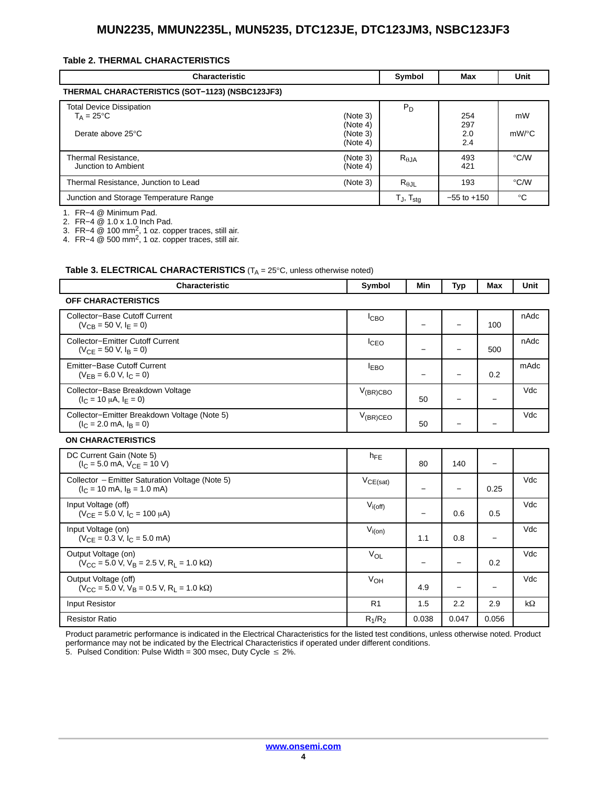#### <span id="page-3-0"></span>**Table [2.](#page-2-0) THERMAL CHARACTERISTICS**

| <b>Characteristic</b>                                                       |                                              | Symbol                   | Max                      | Unit               |
|-----------------------------------------------------------------------------|----------------------------------------------|--------------------------|--------------------------|--------------------|
| THERMAL CHARACTERISTICS (SOT-1123) (NSBC123JF3)                             |                                              |                          |                          |                    |
| <b>Total Device Dissipation</b><br>$T_A = 25^{\circ}C$<br>Derate above 25°C | (Note 3)<br>(Note 4)<br>(Note 3)<br>(Note 4) | $P_D$                    | 254<br>297<br>2.0<br>2.4 | mW<br>mW/°C        |
| Thermal Resistance,<br>Junction to Ambient                                  | (Note 3)<br>(Note 4)                         | $R_{\theta$ JA           | 493<br>421               | $\rm ^{\circ}$ C/W |
| Thermal Resistance, Junction to Lead                                        | (Note 3)                                     | $R_{\theta$ JL           | 193                      | $\degree$ C/W      |
| Junction and Storage Temperature Range                                      |                                              | $T_J$ , $T_{\text{stq}}$ | $-55$ to $+150$          | $^{\circ}C$        |

1. FR−4 @ Minimum Pad.

2. FR−4 @ 1.0 x 1.0 Inch Pad.

3. FR−4 @ 100 mm2, 1 oz. copper traces, still air.

4. FR−4 @ 500 mm2, 1 oz. copper traces, still air.

#### **Table 3. ELECTRICAL CHARACTERISTICS** (T<sub>A</sub> = 25°C, unless otherwise noted)

| <b>Characteristic</b>                                                                                                       | Symbol           | Min                      | <b>Typ</b>               | <b>Max</b>               | Unit      |
|-----------------------------------------------------------------------------------------------------------------------------|------------------|--------------------------|--------------------------|--------------------------|-----------|
| <b>OFF CHARACTERISTICS</b>                                                                                                  |                  |                          |                          |                          |           |
| Collector-Base Cutoff Current<br>$(V_{CR} = 50 V, I_F = 0)$                                                                 | I <sub>CBO</sub> | $\overline{\phantom{0}}$ |                          | 100                      | nAdc      |
| <b>Collector-Emitter Cutoff Current</b><br>$(V_{CF} = 50 V, IB = 0)$                                                        | <b>I</b> CEO     | $\qquad \qquad -$        | $\overline{\phantom{0}}$ | 500                      | nAdc      |
| <b>Emitter-Base Cutoff Current</b><br>$(V_{FB} = 6.0 V, I_C = 0)$                                                           | <b>LEBO</b>      | $\qquad \qquad -$        | $\overline{\phantom{0}}$ | 0.2                      | mAdc      |
| Collector-Base Breakdown Voltage<br>$(I_C = 10 \mu A, I_F = 0)$                                                             | $V_{(BR)CBO}$    | 50                       | $\qquad \qquad$          | $\overline{\phantom{0}}$ | Vdc       |
| Collector-Emitter Breakdown Voltage (Note 5)<br>$(l_C = 2.0$ mA, $l_B = 0$ )                                                | $V_{(BR)CEO}$    | 50                       |                          |                          | Vdc       |
| <b>ON CHARACTERISTICS</b>                                                                                                   |                  |                          |                          |                          |           |
| DC Current Gain (Note 5)<br>$(I_C = 5.0$ mA, $V_{CF} = 10$ V)                                                               | $h_{FE}$         | 80                       | 140                      | $\overline{\phantom{m}}$ |           |
| Collector - Emitter Saturation Voltage (Note 5)<br>$(IC = 10 mA, IB = 1.0 mA)$                                              | $V_{CE(sat)}$    | $\overline{\phantom{m}}$ | $\overline{\phantom{0}}$ | 0.25                     | Vdc       |
| Input Voltage (off)<br>$(V_{CF} = 5.0 V, I_C = 100 \mu A)$                                                                  | $V_{i(off)}$     | $\overline{\phantom{0}}$ | 0.6                      | 0.5                      | Vdc       |
| Input Voltage (on)<br>$(V_{CE} = 0.3 V, I_C = 5.0 mA)$                                                                      | $V_{i(0n)}$      | 1.1                      | 0.8                      | $\overline{\phantom{m}}$ | Vdc       |
| Output Voltage (on)<br>$(V_{\text{CC}} = 5.0 \text{ V}, V_{\text{B}} = 2.5 \text{ V}, R_{\text{I}} = 1.0 \text{ k}\Omega)$  | VOL              | $\qquad \qquad -$        | $\overline{\phantom{m}}$ | 0.2                      | Vdc       |
| Output Voltage (off)<br>$(V_{\text{CC}} = 5.0 \text{ V}, V_{\text{B}} = 0.5 \text{ V}, R_{\text{I}} = 1.0 \text{ k}\Omega)$ | $V_{OH}$         | 4.9                      | $\overline{\phantom{m}}$ | $\overline{\phantom{0}}$ | Vdc       |
| Input Resistor                                                                                                              | R <sub>1</sub>   | 1.5                      | 2.2                      | 2.9                      | $k\Omega$ |
| <b>Resistor Ratio</b>                                                                                                       | $R_1/R_2$        | 0.038                    | 0.047                    | 0.056                    |           |

Product parametric performance is indicated in the Electrical Characteristics for the listed test conditions, unless otherwise noted. Product

performance may not be indicated by the Electrical Characteristics if operated under different conditions.

5. Pulsed Condition: Pulse Width = 300 msec, Duty Cycle  $\leq 2\%$ .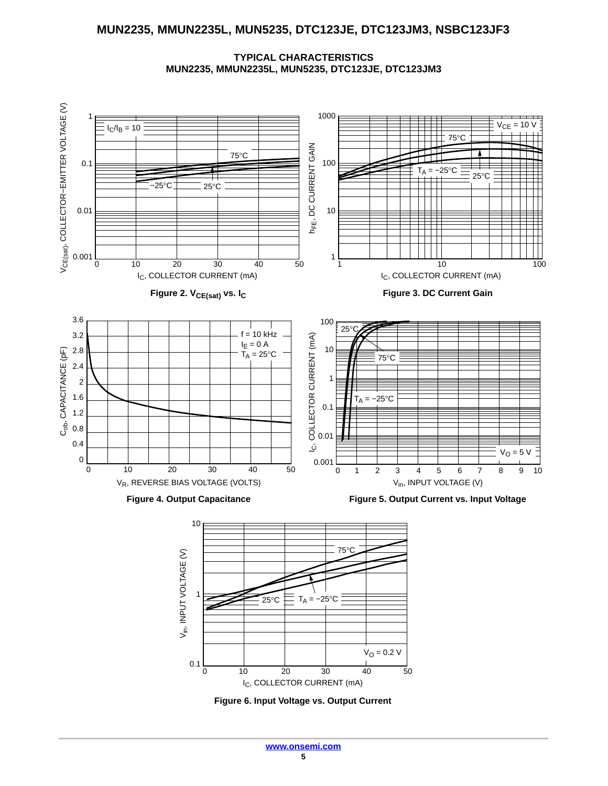**TYPICAL CHARACTERISTICS MUN2235, MMUN2235L, MUN5235, DTC123JE, DTC123JM3**



**Figure 6. Input Voltage vs. Output Current**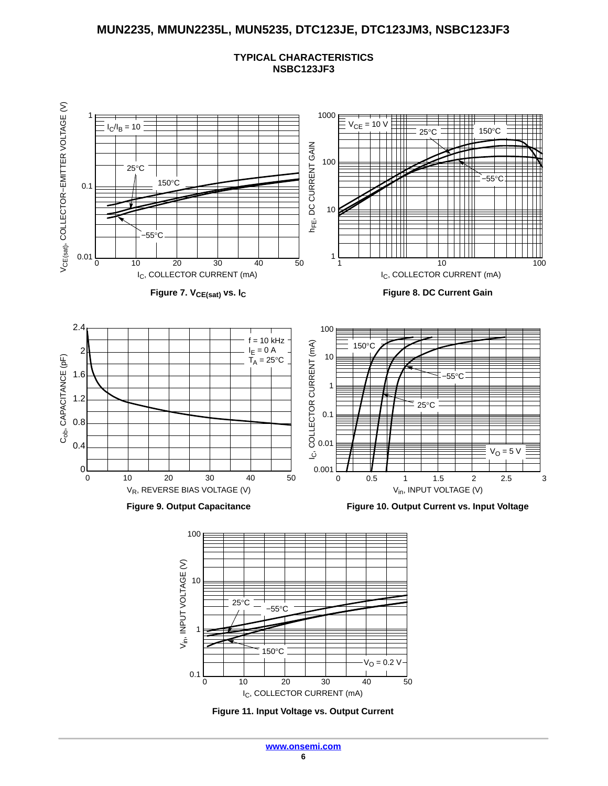





**Figure 11. Input Voltage vs. Output Current**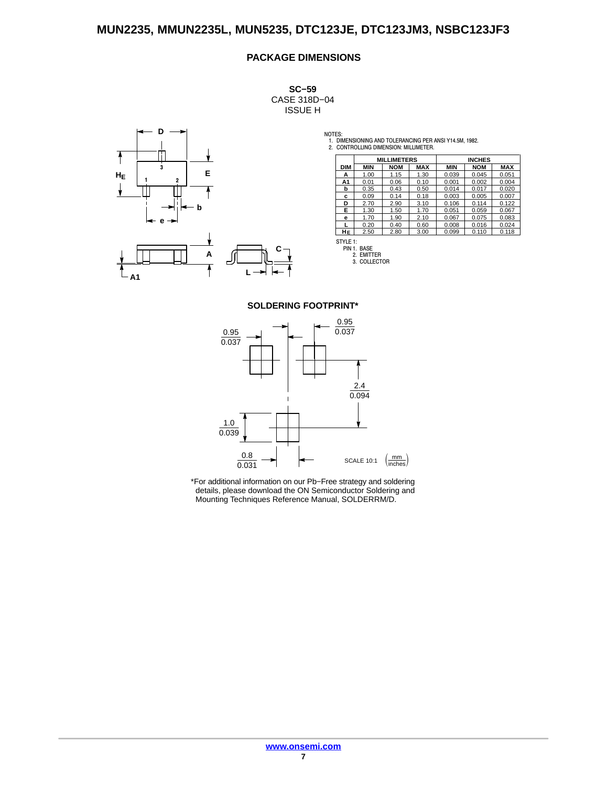#### **PACKAGE DIMENSIONS**

**SC−59** CASE 318D−04 ISSUE H



NOTES: 1. DIMENSIONING AND TOLERANCING PER ANSI Y14.5M, 1982. 2. CONTROLLING DIMENSION: MILLIMETER.

|            | <b>MILLIMETERS</b> |            |            | <b>INCHES</b> |            |            |
|------------|--------------------|------------|------------|---------------|------------|------------|
| <b>DIM</b> | <b>MIN</b>         | <b>NOM</b> | <b>MAX</b> | <b>MIN</b>    | <b>NOM</b> | <b>MAX</b> |
| А          | 1.00               | 1.15       | 1.30       | 0.039         | 0.045      | 0.051      |
| A1         | 0.01               | 0.06       | 0.10       | 0.001         | 0.002      | 0.004      |
| b          | 0.35               | 0.43       | 0.50       | 0.014         | 0.017      | 0.020      |
| c          | 0.09               | 0.14       | 0.18       | 0.003         | 0.005      | 0.007      |
| D          | 2.70               | 2.90       | 3.10       | 0.106         | 0.114      | 0.122      |
| Е          | 1.30               | 1.50       | 1.70       | 0.051         | 0.059      | 0.067      |
| е          | 1.70               | 1.90       | 2.10       | 0.067         | 0.075      | 0.083      |
|            | 0.20               | 0.40       | 0.60       | 0.008         | 0.016      | 0.024      |
| HЕ         | 2.50               | 2.80       | 3.00       | 0.099         | 0.110      | 0.118      |

STYLE 1: PIN 1. BASE 2. EMITTER

3. COLLECTOR

#### **SOLDERING FOOTPRINT\***

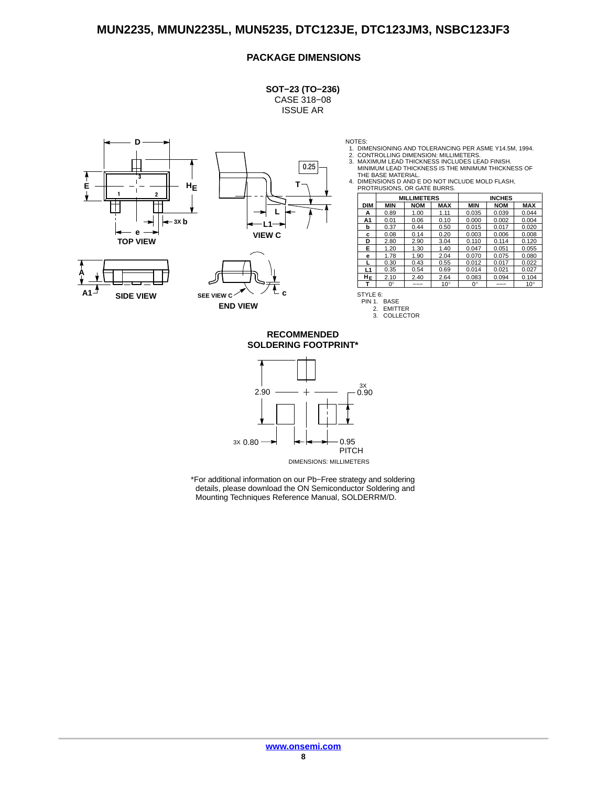#### **PACKAGE DIMENSIONS**

**SOT−23 (TO−236)** CASE 318−08 ISSUE AR









- 
- 
- NOTES:<br>1. DIMENSIONING AND TOLERANCING PER ASME Y14.5M, 1994.<br>2. CONTROLLING DIMENSION: MILLIMETERS.<br>3. MAXIMUM LEAD THICKNESS INCLUDES LEAD FINISH.<br>MINIMUM LEAD THICKNESS IS THE MINIMUM THICKNESS OF

THE BASE MATERIAL. 4. DIMENSIONS D AND E DO NOT INCLUDE MOLD FLASH, PROTRUSIONS, OR GATE BURRS.

|            | <b>MILLIMETERS</b> |            |              | <b>INCHES</b> |            |              |
|------------|--------------------|------------|--------------|---------------|------------|--------------|
| <b>DIM</b> | <b>MIN</b>         | <b>NOM</b> | <b>MAX</b>   | <b>MIN</b>    | <b>NOM</b> | <b>MAX</b>   |
| А          | 0.89               | 1.00       | 1.11         | 0.035         | 0.039      | 0.044        |
| A1         | 0.01               | 0.06       | 0.10         | 0.000         | 0.002      | 0.004        |
| b          | 0.37               | 0.44       | 0.50         | 0.015         | 0.017      | 0.020        |
| c          | 0.08               | 0.14       | 0.20         | 0.003         | 0.006      | 0.008        |
| D          | 2.80               | 2.90       | 3.04         | 0.110         | 0.114      | 0.120        |
| Е          | 1.20               | 1.30       | 1.40         | 0.047         | 0.051      | 0.055        |
| е          | 1.78               | 1.90       | 2.04         | 0.070         | 0.075      | 0.080        |
|            | 0.30               | 0.43       | 0.55         | 0.012         | 0.017      | 0.022        |
| L1         | 0.35               | 0.54       | 0.69         | 0.014         | 0.021      | 0.027        |
| HЕ         | 2.10               | 2.40       | 2.64         | 0.083         | 0.094      | 0.104        |
| т          | $0^{\circ}$        |            | $10^{\circ}$ | $0^{\circ}$   |            | $10^{\circ}$ |

STYLE 6: PIN 1. BASE 2. EMITTER 3. COLLECTOR

**SOLDERING FOOTPRINT\* RECOMMENDED**

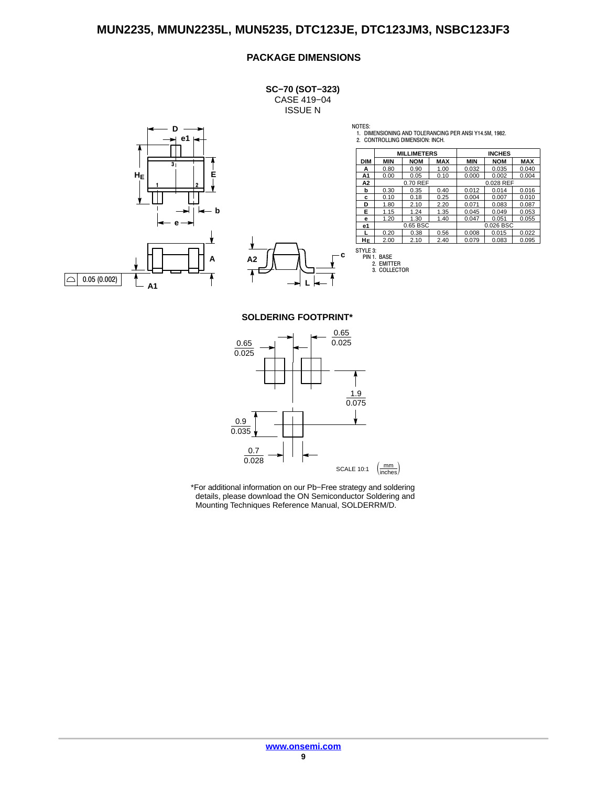### **PACKAGE DIMENSIONS**

**SC−70 (SOT−323)** CASE 419−04 ISSUE N





NOTES:

1. DIMENSIONING AND TOLERANCING PER ANSI Y14.5M, 1982. 2. CONTROLLING DIMENSION: INCH.

|            | <b>MILLIMETERS</b> |            |            | <b>INCHES</b> |            |            |
|------------|--------------------|------------|------------|---------------|------------|------------|
| <b>DIM</b> | <b>MIN</b>         | <b>NOM</b> | <b>MAX</b> | <b>MIN</b>    | <b>NOM</b> | <b>MAX</b> |
| А          | 0.80               | 0.90       | 1.00       | 0.032         | 0.035      | 0.040      |
| A1         | 0.00               | 0.05       | 0.10       | 0.000         | 0.002      | 0.004      |
| А2         | 0.70 REF           |            |            | 0.028 REF     |            |            |
| b          | 0.30               | 0.35       | 0.40       | 0.012         | 0.014      | 0.016      |
| c          | 0.10               | 0.18       | 0.25       | 0.004         | 0.007      | 0.010      |
| D          | 1.80               | 2.10       | 2.20       | 0.071         | 0.083      | 0.087      |
| Е          | 1.15               | 1.24       | 1.35       | 0.045         | 0.049      | 0.053      |
| е          | 1.20               | 1.30       | 1.40       | 0.047         | 0.051      | 0.055      |
| e1         |                    | 0.65 BSC   |            | 0.026 BSC     |            |            |
|            | 0.20               | 0.38       | 0.56       | 0.008         | 0.015      | 0.022      |
| HЕ         | 2.00               | 2.10       | 2.40       | 0.079         | 0.083      | 0.095      |



**SOLDERING FOOTPRINT\***

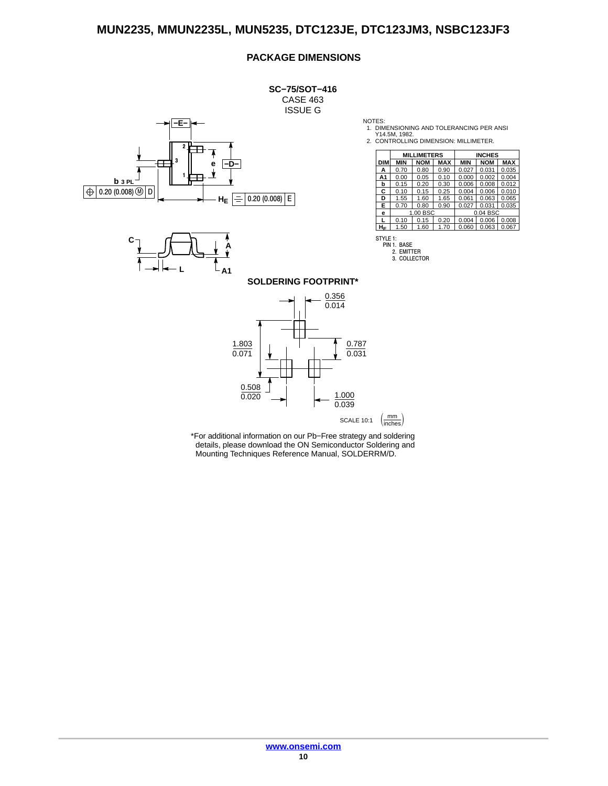#### **PACKAGE DIMENSIONS**

**SC−75/SOT−416** CASE 463 ISSUE G **−E− 2**  $\overline{\mathbf{A}}$ **3 −D− e 1 b 3 PL**  $\Theta$  0.20 (0.008)  $\circledR$  D **HE**  $|0.20(0.008)|E$ ÷



NOTES:

1. DIMENSIONING AND TOLERANCING PER ANSI Y14.5M, 1982. 2. CONTROLLING DIMENSION: MILLIMETER.

|            | <b>MILLIMETERS</b> |            |            | <b>INCHES</b> |            |            |
|------------|--------------------|------------|------------|---------------|------------|------------|
| <b>DIM</b> | <b>MIN</b>         | <b>NOM</b> | <b>MAX</b> | <b>MIN</b>    | <b>NOM</b> | <b>MAX</b> |
| А          | 0.70               | 0.80       | 0.90       | 0.027         | 0.031      | 0.035      |
| А1         | 0.00               | 0.05       | 0.10       | 0.000         | 0.002      | 0.004      |
| b          | 0.15               | 0.20       | 0.30       | 0.006         | 0.008      | 0.012      |
| С          | 0.10               | 0.15       | 0.25       | 0.004         | 0.006      | 0.010      |
| D          | 1.55               | 1.60       | 1.65       | 0.061         | 0.063      | 0.065      |
| Е          | 0.70               | 0.80       | 0.90       | 0.027         | 0.031      | 0.035      |
| е          | 1.00 BSC           |            |            |               | 0.04 BSC   |            |
| L          | 0.10               | 0.15       | 0.20       | 0.004         | 0.006      | 0.008      |
| HF         | 1.50               | 1.60       | 1.70       | 0.060         | 0.063      | 0.067      |

STYLE 1: PIN 1. BASE

2. EMITTER 3. COLLECTOR

#### **SOLDERING FOOTPRINT\***

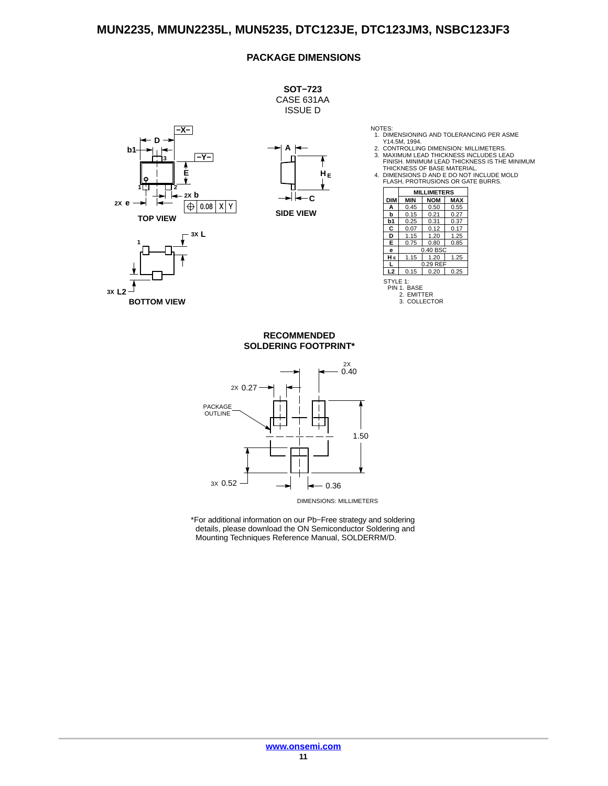#### **PACKAGE DIMENSIONS**



NOTES: 1. DIMENSIONING AND TOLERANCING PER ASME

Y14.5M, 1994. 2. CONTROLLING DIMENSION: MILLIMETERS. 3. MAXIMUM LEAD THICKNESS INCLUDES LEAD

FINISH. MINIMUM LEAD THICKNESS IS THE MINIMUM THICKNESS OF BASE MATERIAL.

4. DIMENSIONS D AND E DO NOT INCLUDE MOLD FLASH, PROTRUSIONS OR GATE BURRS.

|                | <b>MILLIMETERS</b> |            |            |  |  |
|----------------|--------------------|------------|------------|--|--|
| <b>DIM</b>     | <b>MIN</b>         | <b>NOM</b> | <b>MAX</b> |  |  |
| A              | 0.45               | 0.50       | 0.55       |  |  |
| b              | 0.15               | 0.21       | 0.27       |  |  |
| b1             | 0.25               | 0.31       | 0.37       |  |  |
| С              | 0.07               | 0.12       | 0.17       |  |  |
| D              | 1.15               | 1.20       | 1.25       |  |  |
| Е              | 0.75               | 0.80       | 0.85       |  |  |
| e              |                    | 0.40 BSC   |            |  |  |
| HЕ             | 1.15               | 1.20       | 1.25       |  |  |
|                |                    | 0.29 REF   |            |  |  |
| L <sub>2</sub> | 0.15               | 0.20       | 0.25       |  |  |
| STYLE 1:       |                    |            |            |  |  |

STYLE 1: PIN 1. BASE 2. EMITTER 3. COLLECTOR

#### **SOLDERING FOOTPRINT\* RECOMMENDED**



DIMENSIONS: MILLIMETERS